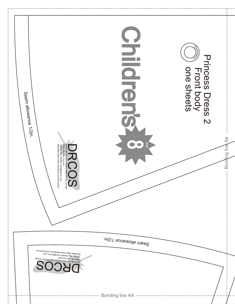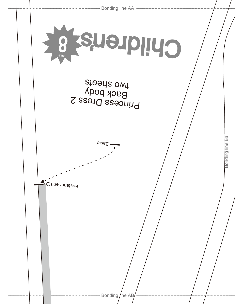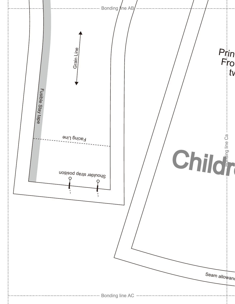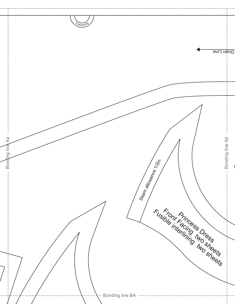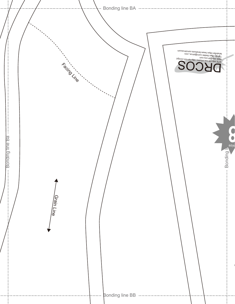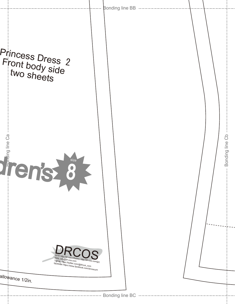| <b>Bonding line BB</b><br>$\cdots\cdots\cdots\cdots$                                                                                             |                 |
|--------------------------------------------------------------------------------------------------------------------------------------------------|-----------------|
|                                                                                                                                                  |                 |
| 4 6118202                                                                                                                                        | Bonding line Cb |
| COS<br>SITE http://dr-cos.info(en) http://dr-cos.com(jp)<br>Twitter https://twitter.com/@drcos_com<br>facebook https://www.facebook.com/drcoscom |                 |
|                                                                                                                                                  |                 |
|                                                                                                                                                  |                 |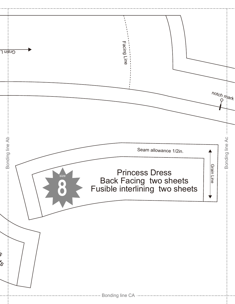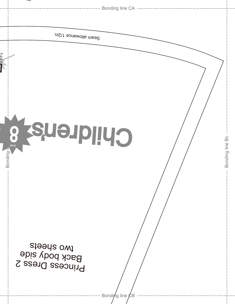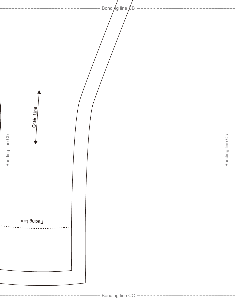- Bondi $\not$ g line  $\not\!\! E$ B Grain Line Bonding line Cb --Bonding line Cc -Bonding line Cb Bonding line Cc **Facing Line** ------------ Bonding line CC --------------------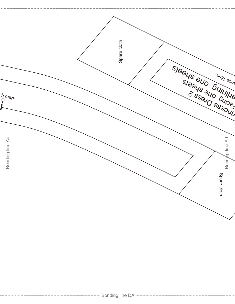